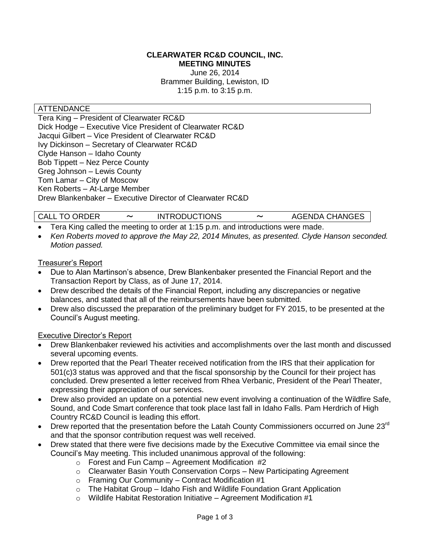## **CLEARWATER RC&D COUNCIL, INC. MEETING MINUTES**

June 26, 2014 Brammer Building, Lewiston, ID 1:15 p.m. to 3:15 p.m.

### ATTENDANCE

Tera King – President of Clearwater RC&D Dick Hodge – Executive Vice President of Clearwater RC&D Jacqui Gilbert – Vice President of Clearwater RC&D Ivy Dickinson – Secretary of Clearwater RC&D Clyde Hanson – Idaho County Bob Tippett – Nez Perce County Greg Johnson – Lewis County Tom Lamar – City of Moscow Ken Roberts – At-Large Member Drew Blankenbaker – Executive Director of Clearwater RC&D

# CALL TO ORDER 〜 INTRODUCTIONS 〜 AGENDA CHANGES

- Tera King called the meeting to order at 1:15 p.m. and introductions were made.
- *Ken Roberts moved to approve the May 22, 2014 Minutes, as presented. Clyde Hanson seconded. Motion passed.*

#### Treasurer's Report

- Due to Alan Martinson's absence, Drew Blankenbaker presented the Financial Report and the Transaction Report by Class, as of June 17, 2014.
- Drew described the details of the Financial Report, including any discrepancies or negative balances, and stated that all of the reimbursements have been submitted.
- Drew also discussed the preparation of the preliminary budget for FY 2015, to be presented at the Council's August meeting.

### Executive Director's Report

- Drew Blankenbaker reviewed his activities and accomplishments over the last month and discussed several upcoming events.
- Drew reported that the Pearl Theater received notification from the IRS that their application for 501(c)3 status was approved and that the fiscal sponsorship by the Council for their project has concluded. Drew presented a letter received from Rhea Verbanic, President of the Pearl Theater, expressing their appreciation of our services.
- Drew also provided an update on a potential new event involving a continuation of the Wildfire Safe, Sound, and Code Smart conference that took place last fall in Idaho Falls. Pam Herdrich of High Country RC&D Council is leading this effort.
- $\bullet$  Drew reported that the presentation before the Latah County Commissioners occurred on June 23 $^{rd}$ and that the sponsor contribution request was well received.
- Drew stated that there were five decisions made by the Executive Committee via email since the Council's May meeting. This included unanimous approval of the following:
	- $\circ$  Forest and Fun Camp Agreement Modification #2
	- o Clearwater Basin Youth Conservation Corps New Participating Agreement
	- $\circ$  Framing Our Community Contract Modification #1
	- o The Habitat Group Idaho Fish and Wildlife Foundation Grant Application
	- o Wildlife Habitat Restoration Initiative Agreement Modification #1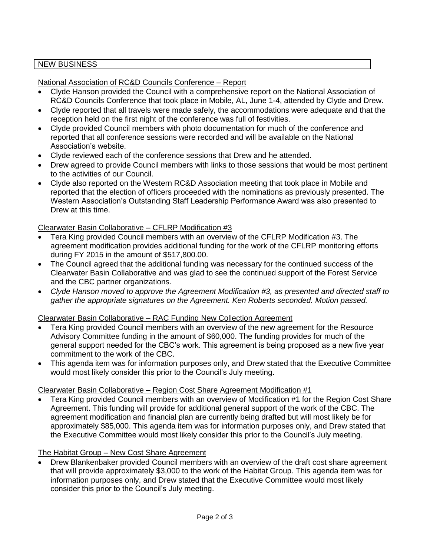# NEW BUSINESS

## National Association of RC&D Councils Conference – Report

- Clyde Hanson provided the Council with a comprehensive report on the National Association of RC&D Councils Conference that took place in Mobile, AL, June 1-4, attended by Clyde and Drew.
- Clyde reported that all travels were made safely, the accommodations were adequate and that the reception held on the first night of the conference was full of festivities.
- Clyde provided Council members with photo documentation for much of the conference and reported that all conference sessions were recorded and will be available on the National Association's website.
- Clyde reviewed each of the conference sessions that Drew and he attended.
- Drew agreed to provide Council members with links to those sessions that would be most pertinent to the activities of our Council.
- Clyde also reported on the Western RC&D Association meeting that took place in Mobile and reported that the election of officers proceeded with the nominations as previously presented. The Western Association's Outstanding Staff Leadership Performance Award was also presented to Drew at this time.

## Clearwater Basin Collaborative – CFLRP Modification #3

- Tera King provided Council members with an overview of the CFLRP Modification #3. The agreement modification provides additional funding for the work of the CFLRP monitoring efforts during FY 2015 in the amount of \$517,800.00.
- The Council agreed that the additional funding was necessary for the continued success of the Clearwater Basin Collaborative and was glad to see the continued support of the Forest Service and the CBC partner organizations.
- *Clyde Hanson moved to approve the Agreement Modification #3, as presented and directed staff to gather the appropriate signatures on the Agreement. Ken Roberts seconded. Motion passed.*

### Clearwater Basin Collaborative – RAC Funding New Collection Agreement

- Tera King provided Council members with an overview of the new agreement for the Resource Advisory Committee funding in the amount of \$60,000. The funding provides for much of the general support needed for the CBC's work. This agreement is being proposed as a new five year commitment to the work of the CBC.
- This agenda item was for information purposes only, and Drew stated that the Executive Committee would most likely consider this prior to the Council's July meeting.

### Clearwater Basin Collaborative – Region Cost Share Agreement Modification #1

 Tera King provided Council members with an overview of Modification #1 for the Region Cost Share Agreement. This funding will provide for additional general support of the work of the CBC. The agreement modification and financial plan are currently being drafted but will most likely be for approximately \$85,000. This agenda item was for information purposes only, and Drew stated that the Executive Committee would most likely consider this prior to the Council's July meeting.

### The Habitat Group – New Cost Share Agreement

 Drew Blankenbaker provided Council members with an overview of the draft cost share agreement that will provide approximately \$3,000 to the work of the Habitat Group. This agenda item was for information purposes only, and Drew stated that the Executive Committee would most likely consider this prior to the Council's July meeting.